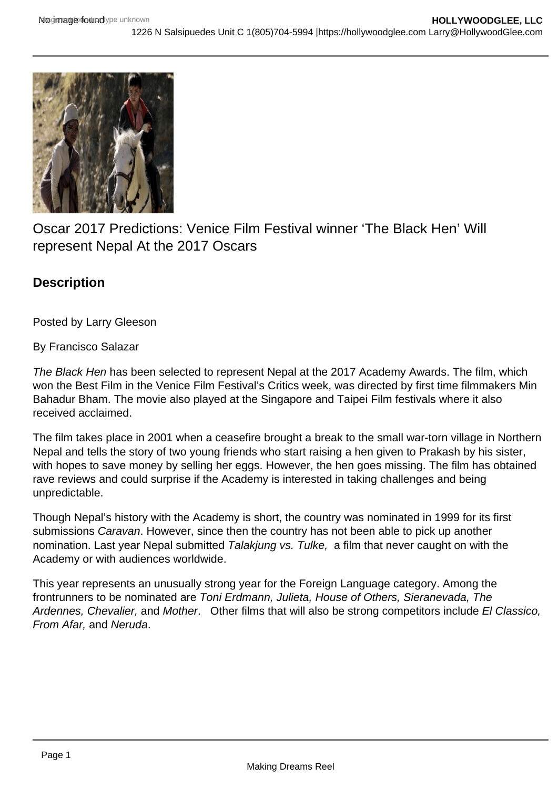

Oscar 2017 Predictions: Venice Film Festival winner 'The Black Hen' Will represent Nepal At the 2017 Oscars

## **Description**

Posted by Larry Gleeson

By Francisco Salazar

The Black Hen has been selected to represent Nepal at the 2017 Academy Awards. The film, which won the Best Film in the Venice Film Festival's Critics week, was directed by first time filmmakers Min Bahadur Bham. The movie also played at the Singapore and Taipei Film festivals where it also received acclaimed.

The film takes place in 2001 when a ceasefire brought a break to the small war-torn village in Northern Nepal and tells the story of two young friends who start raising a hen given to Prakash by his sister, with hopes to save money by selling her eggs. However, the hen goes missing. The film has obtained rave reviews and could surprise if the Academy is interested in taking challenges and being unpredictable.

Though Nepal's history with the Academy is short, the country was nominated in 1999 for its first submissions Caravan. However, since then the country has not been able to pick up another nomination. Last year Nepal submitted Talakjung vs. Tulke, a film that never caught on with the Academy or with audiences worldwide.

This year represents an unusually strong year for the Foreign Language category. Among the frontrunners to be nominated are Toni Erdmann, Julieta, House of Others, Sieranevada, The Ardennes, Chevalier, and Mother. Other films that will also be strong competitors include El Classico, From Afar, and Neruda.